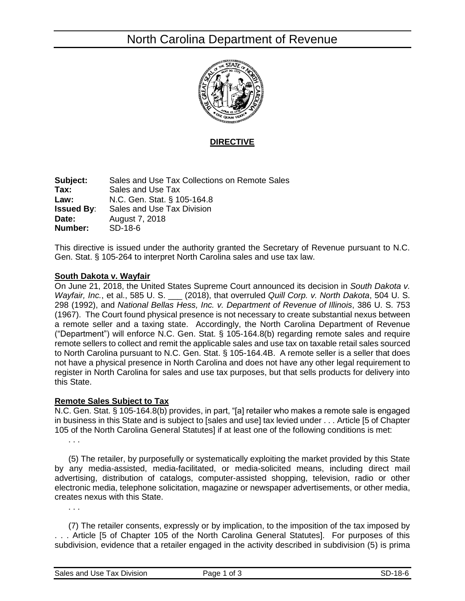# North Carolina Department of Revenue



**DIRECTIVE**

**Subject:** Sales and Use Tax Collections on Remote Sales **Tax:** Sales and Use Tax **Law:** N.C. Gen. Stat. § 105-164.8 **Issued By:** Sales and Use Tax Division **Date:** August 7, 2018 **Number:** SD-18-6

This directive is issued under the authority granted the Secretary of Revenue pursuant to N.C. Gen. Stat. § 105-264 to interpret North Carolina sales and use tax law.

#### **South Dakota v. Wayfair**

On June 21, 2018, the United States Supreme Court announced its decision in *South Dakota v. Wayfair, Inc.*, et al., 585 U. S. \_\_\_ (2018), that overruled *Quill Corp. v. North Dakota*, 504 U. S. 298 (1992), and *National Bellas Hess, Inc. v. Department of Revenue of Illinois*, 386 U. S. 753 (1967). The Court found physical presence is not necessary to create substantial nexus between a remote seller and a taxing state. Accordingly, the North Carolina Department of Revenue ("Department") will enforce N.C. Gen. Stat. § 105-164.8(b) regarding remote sales and require remote sellers to collect and remit the applicable sales and use tax on taxable retail sales sourced to North Carolina pursuant to N.C. Gen. Stat. § 105-164.4B. A remote seller is a seller that does not have a physical presence in North Carolina and does not have any other legal requirement to register in North Carolina for sales and use tax purposes, but that sells products for delivery into this State.

#### **Remote Sales Subject to Tax**

N.C. Gen. Stat. § 105-164.8(b) provides, in part, "[a] retailer who makes a remote sale is engaged in business in this State and is subject to [sales and use] tax levied under . . . Article [5 of Chapter 105 of the North Carolina General Statutes] if at least one of the following conditions is met: . . .

(5) The retailer, by purposefully or systematically exploiting the market provided by this State by any media-assisted, media-facilitated, or media-solicited means, including direct mail advertising, distribution of catalogs, computer-assisted shopping, television, radio or other electronic media, telephone solicitation, magazine or newspaper advertisements, or other media, creates nexus with this State.

(7) The retailer consents, expressly or by implication, to the imposition of the tax imposed by . . . Article [5 of Chapter 105 of the North Carolina General Statutes]. For purposes of this subdivision, evidence that a retailer engaged in the activity described in subdivision (5) is prima

. . .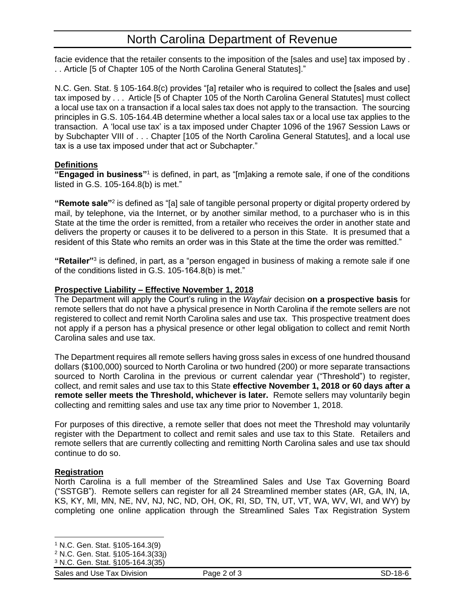facie evidence that the retailer consents to the imposition of the [sales and use] tax imposed by . . . Article [5 of Chapter 105 of the North Carolina General Statutes]."

N.C. Gen. Stat. § 105-164.8(c) provides "[a] retailer who is required to collect the [sales and use] tax imposed by . . . Article [5 of Chapter 105 of the North Carolina General Statutes] must collect a local use tax on a transaction if a local sales tax does not apply to the transaction. The sourcing principles in G.S. 105-164.4B determine whether a local sales tax or a local use tax applies to the transaction. A 'local use tax' is a tax imposed under Chapter 1096 of the 1967 Session Laws or by Subchapter VIII of . . . Chapter [105 of the North Carolina General Statutes], and a local use tax is a use tax imposed under that act or Subchapter."

## **Definitions**

"**Engaged in business**"<sup>1</sup> is defined, in part, as "[m]aking a remote sale, if one of the conditions listed in G.S. 105-164.8(b) is met."

**"Remote sale"**<sup>2</sup> is defined as "[a] sale of tangible personal property or digital property ordered by mail, by telephone, via the Internet, or by another similar method, to a purchaser who is in this State at the time the order is remitted, from a retailer who receives the order in another state and delivers the property or causes it to be delivered to a person in this State. It is presumed that a resident of this State who remits an order was in this State at the time the order was remitted."

**"Retailer"**<sup>3</sup> is defined, in part, as a "person engaged in business of making a remote sale if one of the conditions listed in G.S. 105-164.8(b) is met."

## **Prospective Liability – Effective November 1, 2018**

The Department will apply the Court's ruling in the *Wayfair* decision **on a prospective basis** for remote sellers that do not have a physical presence in North Carolina if the remote sellers are not registered to collect and remit North Carolina sales and use tax. This prospective treatment does not apply if a person has a physical presence or other legal obligation to collect and remit North Carolina sales and use tax.

The Department requires all remote sellers having gross sales in excess of one hundred thousand dollars (\$100,000) sourced to North Carolina or two hundred (200) or more separate transactions sourced to North Carolina in the previous or current calendar year ("Threshold") to register, collect, and remit sales and use tax to this State **effective November 1, 2018 or 60 days after a remote seller meets the Threshold, whichever is later.** Remote sellers may voluntarily begin collecting and remitting sales and use tax any time prior to November 1, 2018.

For purposes of this directive, a remote seller that does not meet the Threshold may voluntarily register with the Department to collect and remit sales and use tax to this State. Retailers and remote sellers that are currently collecting and remitting North Carolina sales and use tax should continue to do so.

## **Registration**

North Carolina is a full member of the Streamlined Sales and Use Tax Governing Board ("SSTGB"). Remote sellers can register for all 24 Streamlined member states (AR, GA, IN, IA, KS, KY, MI, MN, NE, NV, NJ, NC, ND, OH, OK, RI, SD, TN, UT, VT, WA, WV, WI, and WY) by completing one online application through the Streamlined Sales Tax Registration System

Sales and Use Tax Division **Page 2 of 3** SD-18-6 SD-18-6

l <sup>1</sup> N.C. Gen. Stat. §105-164.3(9)

<sup>2</sup> N.C. Gen. Stat. §105-164.3(33j)

<sup>3</sup> N.C. Gen. Stat. §105-164.3(35)